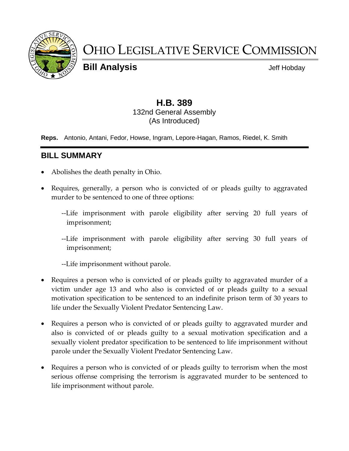

# OHIO LEGISLATIVE SERVICE COMMISSION

**Bill Analysis Bill Analysis** 

# **H.B. 389** 132nd General Assembly (As Introduced)

**Reps.** Antonio, Antani, Fedor, Howse, Ingram, Lepore-Hagan, Ramos, Riedel, K. Smith

# **BILL SUMMARY**

- Abolishes the death penalty in Ohio.
- Requires, generally, a person who is convicted of or pleads guilty to aggravated murder to be sentenced to one of three options:
	- --Life imprisonment with parole eligibility after serving 20 full years of imprisonment;
	- --Life imprisonment with parole eligibility after serving 30 full years of imprisonment;

--Life imprisonment without parole.

- Requires a person who is convicted of or pleads guilty to aggravated murder of a victim under age 13 and who also is convicted of or pleads guilty to a sexual motivation specification to be sentenced to an indefinite prison term of 30 years to life under the Sexually Violent Predator Sentencing Law.
- Requires a person who is convicted of or pleads guilty to aggravated murder and also is convicted of or pleads guilty to a sexual motivation specification and a sexually violent predator specification to be sentenced to life imprisonment without parole under the Sexually Violent Predator Sentencing Law.
- Requires a person who is convicted of or pleads guilty to terrorism when the most serious offense comprising the terrorism is aggravated murder to be sentenced to life imprisonment without parole.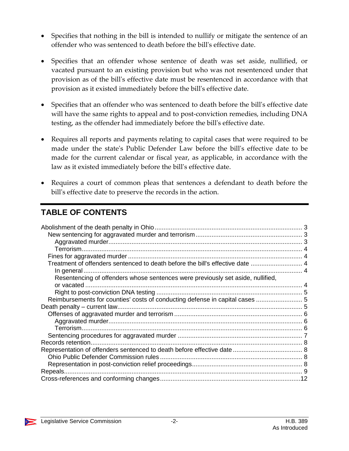- Specifies that nothing in the bill is intended to nullify or mitigate the sentence of an offender who was sentenced to death before the bill's effective date.
- Specifies that an offender whose sentence of death was set aside, nullified, or vacated pursuant to an existing provision but who was not resentenced under that provision as of the bill's effective date must be resentenced in accordance with that provision as it existed immediately before the bill's effective date.
- Specifies that an offender who was sentenced to death before the bill's effective date will have the same rights to appeal and to post-conviction remedies, including DNA testing, as the offender had immediately before the bill's effective date.
- Requires all reports and payments relating to capital cases that were required to be made under the state's Public Defender Law before the bill's effective date to be made for the current calendar or fiscal year, as applicable, in accordance with the law as it existed immediately before the bill's effective date.
- Requires a court of common pleas that sentences a defendant to death before the bill's effective date to preserve the records in the action.

# **TABLE OF CONTENTS**

| Treatment of offenders sentenced to death before the bill's effective date  4   |  |
|---------------------------------------------------------------------------------|--|
|                                                                                 |  |
| Resentencing of offenders whose sentences were previously set aside, nullified, |  |
|                                                                                 |  |
|                                                                                 |  |
| Reimbursements for counties' costs of conducting defense in capital cases  5    |  |
| Death penalty – current law                                                     |  |
|                                                                                 |  |
|                                                                                 |  |
|                                                                                 |  |
|                                                                                 |  |
| Records retention.                                                              |  |
|                                                                                 |  |
|                                                                                 |  |
|                                                                                 |  |
|                                                                                 |  |
|                                                                                 |  |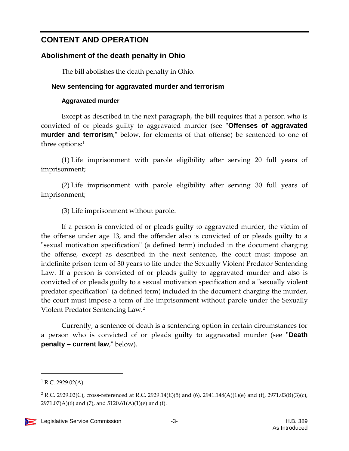# **CONTENT AND OPERATION**

# <span id="page-2-0"></span>**Abolishment of the death penalty in Ohio**

The bill abolishes the death penalty in Ohio.

# <span id="page-2-1"></span>**New sentencing for aggravated murder and terrorism**

# **Aggravated murder**

<span id="page-2-2"></span>Except as described in the next paragraph, the bill requires that a person who is convicted of or pleads guilty to aggravated murder (see "**Offenses of aggravated murder and terrorism**," below, for elements of that offense) be sentenced to one of three options: 1

(1) Life imprisonment with parole eligibility after serving 20 full years of imprisonment;

(2) Life imprisonment with parole eligibility after serving 30 full years of imprisonment;

(3) Life imprisonment without parole.

If a person is convicted of or pleads guilty to aggravated murder, the victim of the offense under age 13, and the offender also is convicted of or pleads guilty to a "sexual motivation specification" (a defined term) included in the document charging the offense, except as described in the next sentence, the court must impose an indefinite prison term of 30 years to life under the Sexually Violent Predator Sentencing Law. If a person is convicted of or pleads guilty to aggravated murder and also is convicted of or pleads guilty to a sexual motivation specification and a "sexually violent predator specification" (a defined term) included in the document charging the murder, the court must impose a term of life imprisonment without parole under the Sexually Violent Predator Sentencing Law.<sup>2</sup>

Currently, a sentence of death is a sentencing option in certain circumstances for a person who is convicted of or pleads guilty to aggravated murder (see "**Death penalty – current law**," below).

 $1$  R.C. 2929.02(A).

<sup>&</sup>lt;sup>2</sup> R.C. 2929.02(C), cross-referenced at R.C. 2929.14(E)(5) and (6), 2941.148(A)(1)(e) and (f), 2971.03(B)(3)(c), 2971.07(A)(6) and (7), and 5120.61(A)(1)(e) and (f).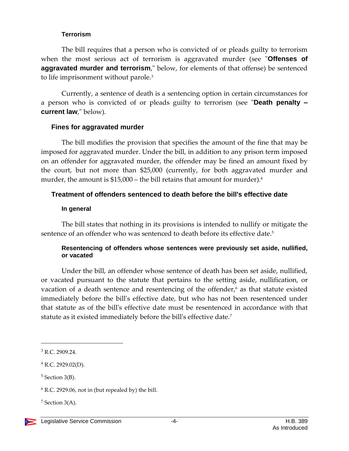#### **Terrorism**

<span id="page-3-0"></span>The bill requires that a person who is convicted of or pleads guilty to terrorism when the most serious act of terrorism is aggravated murder (see "**Offenses of aggravated murder and terrorism**," below, for elements of that offense) be sentenced to life imprisonment without parole.<sup>3</sup>

Currently, a sentence of death is a sentencing option in certain circumstances for a person who is convicted of or pleads guilty to terrorism (see "**Death penalty – current law**," below).

#### <span id="page-3-1"></span>**Fines for aggravated murder**

The bill modifies the provision that specifies the amount of the fine that may be imposed for aggravated murder. Under the bill, in addition to any prison term imposed on an offender for aggravated murder, the offender may be fined an amount fixed by the court, but not more than \$25,000 (currently, for both aggravated murder and murder, the amount is \$15,000 – the bill retains that amount for murder).<sup>4</sup>

# <span id="page-3-2"></span>**Treatment of offenders sentenced to death before the bill's effective date**

#### **In general**

<span id="page-3-3"></span>The bill states that nothing in its provisions is intended to nullify or mitigate the sentence of an offender who was sentenced to death before its effective date.<sup>5</sup>

#### <span id="page-3-4"></span>**Resentencing of offenders whose sentences were previously set aside, nullified, or vacated**

Under the bill, an offender whose sentence of death has been set aside, nullified, or vacated pursuant to the statute that pertains to the setting aside, nullification, or vacation of a death sentence and resentencing of the offender,<sup>6</sup> as that statute existed immediately before the bill's effective date, but who has not been resentenced under that statute as of the bill's effective date must be resentenced in accordance with that statute as it existed immediately before the bill's effective date.<sup>7</sup>

<sup>3</sup> R.C. 2909.24.

 $4$  R.C. 2929.02(D).

<sup>5</sup> Section 3(B).

 $6$  R.C. 2929.06, not in (but repealed by) the bill.

 $<sup>7</sup>$  Section 3(A).</sup>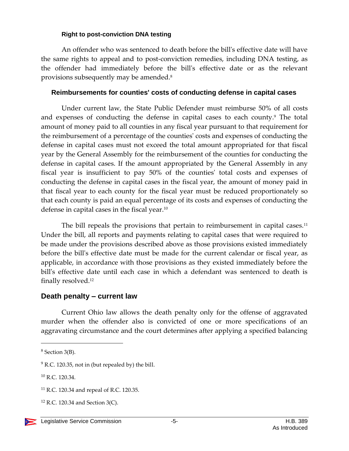#### **Right to post-conviction DNA testing**

<span id="page-4-0"></span>An offender who was sentenced to death before the bill's effective date will have the same rights to appeal and to post-conviction remedies, including DNA testing, as the offender had immediately before the bill's effective date or as the relevant provisions subsequently may be amended.<sup>8</sup>

#### <span id="page-4-1"></span>**Reimbursements for counties' costs of conducting defense in capital cases**

Under current law, the State Public Defender must reimburse 50% of all costs and expenses of conducting the defense in capital cases to each county.<sup>9</sup> The total amount of money paid to all counties in any fiscal year pursuant to that requirement for the reimbursement of a percentage of the counties' costs and expenses of conducting the defense in capital cases must not exceed the total amount appropriated for that fiscal year by the General Assembly for the reimbursement of the counties for conducting the defense in capital cases. If the amount appropriated by the General Assembly in any fiscal year is insufficient to pay 50% of the counties' total costs and expenses of conducting the defense in capital cases in the fiscal year, the amount of money paid in that fiscal year to each county for the fiscal year must be reduced proportionately so that each county is paid an equal percentage of its costs and expenses of conducting the defense in capital cases in the fiscal year. 10

The bill repeals the provisions that pertain to reimbursement in capital cases.<sup>11</sup> Under the bill, all reports and payments relating to capital cases that were required to be made under the provisions described above as those provisions existed immediately before the bill's effective date must be made for the current calendar or fiscal year, as applicable, in accordance with those provisions as they existed immediately before the bill's effective date until each case in which a defendant was sentenced to death is finally resolved.<sup>12</sup>

# <span id="page-4-2"></span>**Death penalty – current law**

Current Ohio law allows the death penalty only for the offense of aggravated murder when the offender also is convicted of one or more specifications of an aggravating circumstance and the court determines after applying a specified balancing

<sup>8</sup> Section 3(B).

 $9$  R.C. 120.35, not in (but repealed by) the bill.

<sup>10</sup> R.C. 120.34.

<sup>11</sup> R.C. 120.34 and repeal of R.C. 120.35.

 $12$  R.C. 120.34 and Section 3(C).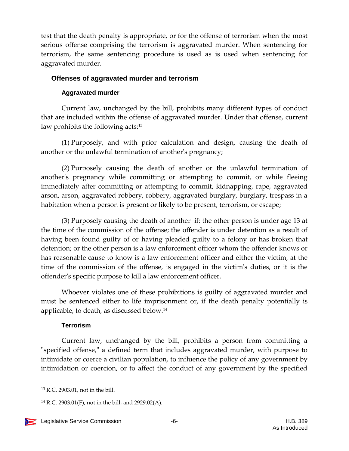test that the death penalty is appropriate, or for the offense of terrorism when the most serious offense comprising the terrorism is aggravated murder. When sentencing for terrorism, the same sentencing procedure is used as is used when sentencing for aggravated murder.

# <span id="page-5-0"></span>**Offenses of aggravated murder and terrorism**

# **Aggravated murder**

<span id="page-5-1"></span>Current law, unchanged by the bill, prohibits many different types of conduct that are included within the offense of aggravated murder. Under that offense, current law prohibits the following acts:<sup>13</sup>

(1) Purposely, and with prior calculation and design, causing the death of another or the unlawful termination of another's pregnancy;

(2) Purposely causing the death of another or the unlawful termination of another's pregnancy while committing or attempting to commit, or while fleeing immediately after committing or attempting to commit, kidnapping, rape, aggravated arson, arson, aggravated robbery, robbery, aggravated burglary, burglary, trespass in a habitation when a person is present or likely to be present, terrorism, or escape;

(3) Purposely causing the death of another if: the other person is under age 13 at the time of the commission of the offense; the offender is under detention as a result of having been found guilty of or having pleaded guilty to a felony or has broken that detention; or the other person is a law enforcement officer whom the offender knows or has reasonable cause to know is a law enforcement officer and either the victim, at the time of the commission of the offense, is engaged in the victim's duties, or it is the offender's specific purpose to kill a law enforcement officer.

Whoever violates one of these prohibitions is guilty of aggravated murder and must be sentenced either to life imprisonment or, if the death penalty potentially is applicable, to death, as discussed below.<sup>14</sup>

# **Terrorism**

<span id="page-5-2"></span>Current law, unchanged by the bill, prohibits a person from committing a "specified offense," a defined term that includes aggravated murder, with purpose to intimidate or coerce a civilian population, to influence the policy of any government by intimidation or coercion, or to affect the conduct of any government by the specified

<sup>13</sup> R.C. 2903.01, not in the bill.

<sup>&</sup>lt;sup>14</sup> R.C. 2903.01(F), not in the bill, and 2929.02(A).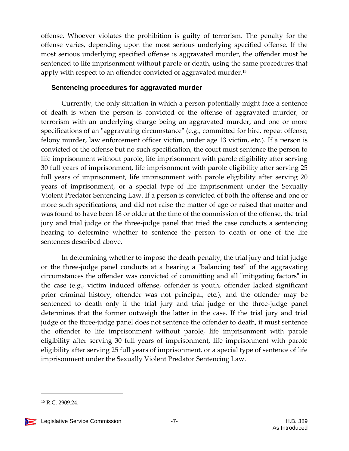offense. Whoever violates the prohibition is guilty of terrorism. The penalty for the offense varies, depending upon the most serious underlying specified offense. If the most serious underlying specified offense is aggravated murder, the offender must be sentenced to life imprisonment without parole or death, using the same procedures that apply with respect to an offender convicted of aggravated murder.<sup>15</sup>

#### <span id="page-6-0"></span>**Sentencing procedures for aggravated murder**

Currently, the only situation in which a person potentially might face a sentence of death is when the person is convicted of the offense of aggravated murder, or terrorism with an underlying charge being an aggravated murder, and one or more specifications of an "aggravating circumstance" (e.g., committed for hire, repeat offense, felony murder, law enforcement officer victim, under age 13 victim, etc.). If a person is convicted of the offense but no such specification, the court must sentence the person to life imprisonment without parole, life imprisonment with parole eligibility after serving 30 full years of imprisonment, life imprisonment with parole eligibility after serving 25 full years of imprisonment, life imprisonment with parole eligibility after serving 20 years of imprisonment, or a special type of life imprisonment under the Sexually Violent Predator Sentencing Law. If a person is convicted of both the offense and one or more such specifications, and did not raise the matter of age or raised that matter and was found to have been 18 or older at the time of the commission of the offense, the trial jury and trial judge or the three-judge panel that tried the case conducts a sentencing hearing to determine whether to sentence the person to death or one of the life sentences described above.

In determining whether to impose the death penalty, the trial jury and trial judge or the three-judge panel conducts at a hearing a "balancing test" of the aggravating circumstances the offender was convicted of committing and all "mitigating factors" in the case (e.g., victim induced offense, offender is youth, offender lacked significant prior criminal history, offender was not principal, etc.), and the offender may be sentenced to death only if the trial jury and trial judge or the three-judge panel determines that the former outweigh the latter in the case. If the trial jury and trial judge or the three-judge panel does not sentence the offender to death, it must sentence the offender to life imprisonment without parole, life imprisonment with parole eligibility after serving 30 full years of imprisonment, life imprisonment with parole eligibility after serving 25 full years of imprisonment, or a special type of sentence of life imprisonment under the Sexually Violent Predator Sentencing Law.

<sup>15</sup> R.C. 2909.24.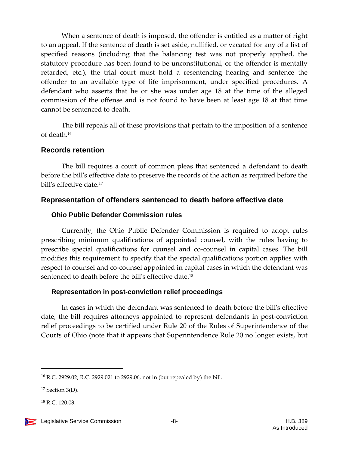When a sentence of death is imposed, the offender is entitled as a matter of right to an appeal. If the sentence of death is set aside, nullified, or vacated for any of a list of specified reasons (including that the balancing test was not properly applied, the statutory procedure has been found to be unconstitutional, or the offender is mentally retarded, etc.), the trial court must hold a resentencing hearing and sentence the offender to an available type of life imprisonment, under specified procedures. A defendant who asserts that he or she was under age 18 at the time of the alleged commission of the offense and is not found to have been at least age 18 at that time cannot be sentenced to death.

The bill repeals all of these provisions that pertain to the imposition of a sentence of death.<sup>16</sup>

#### <span id="page-7-0"></span>**Records retention**

The bill requires a court of common pleas that sentenced a defendant to death before the bill's effective date to preserve the records of the action as required before the bill's effective date.<sup>17</sup>

# <span id="page-7-1"></span>**Representation of offenders sentenced to death before effective date**

#### <span id="page-7-2"></span>**Ohio Public Defender Commission rules**

Currently, the Ohio Public Defender Commission is required to adopt rules prescribing minimum qualifications of appointed counsel, with the rules having to prescribe special qualifications for counsel and co-counsel in capital cases. The bill modifies this requirement to specify that the special qualifications portion applies with respect to counsel and co-counsel appointed in capital cases in which the defendant was sentenced to death before the bill's effective date.<sup>18</sup>

# <span id="page-7-3"></span>**Representation in post-conviction relief proceedings**

In cases in which the defendant was sentenced to death before the bill's effective date, the bill requires attorneys appointed to represent defendants in post-conviction relief proceedings to be certified under Rule 20 of the Rules of Superintendence of the Courts of Ohio (note that it appears that Superintendence Rule 20 no longer exists, but

<sup>16</sup> R.C. 2929.02; R.C. 2929.021 to 2929.06, not in (but repealed by) the bill.

 $17$  Section 3(D).

<sup>18</sup> R.C. 120.03.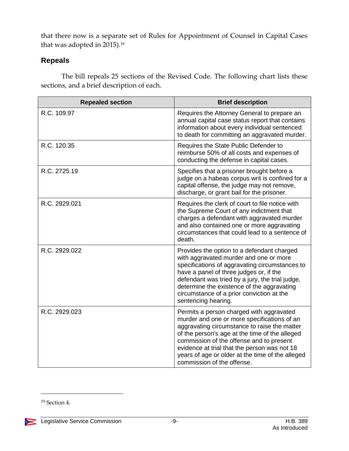that there now is a separate set of Rules for Appointment of Counsel in Capital Cases that was adopted in 2015). 19

# <span id="page-8-0"></span>**Repeals**

The bill repeals 25 sections of the Revised Code. The following chart lists these sections, and a brief description of each.

| <b>Repealed section</b> | <b>Brief description</b>                                                                                                                                                                                                                                                                                                                                                |
|-------------------------|-------------------------------------------------------------------------------------------------------------------------------------------------------------------------------------------------------------------------------------------------------------------------------------------------------------------------------------------------------------------------|
| R.C. 109.97             | Requires the Attorney General to prepare an<br>annual capital case status report that contains<br>information about every individual sentenced<br>to death for committing an aggravated murder.                                                                                                                                                                         |
| R.C. 120.35             | Requires the State Public Defender to<br>reimburse 50% of all costs and expenses of<br>conducting the defense in capital cases.                                                                                                                                                                                                                                         |
| R.C. 2725.19            | Specifies that a prisoner brought before a<br>judge on a habeas corpus writ is confined for a<br>capital offense, the judge may not remove,<br>discharge, or grant bail for the prisoner.                                                                                                                                                                               |
| R.C. 2929.021           | Requires the clerk of court to file notice with<br>the Supreme Court of any indictment that<br>charges a defendant with aggravated murder<br>and also contained one or more aggravating<br>circumstances that could lead to a sentence of<br>death.                                                                                                                     |
| R.C. 2929.022           | Provides the option to a defendant charged<br>with aggravated murder and one or more<br>specifications of aggravating circumstances to<br>have a panel of three judges or, if the<br>defendant was tried by a jury, the trial judge,<br>determine the existence of the aggravating<br>circumstance of a prior conviction at the<br>sentencing hearing.                  |
| R.C. 2929.023           | Permits a person charged with aggravated<br>murder and one or more specifications of an<br>aggravating circumstance to raise the matter<br>of the person's age at the time of the alleged<br>commission of the offense and to present<br>evidence at trial that the person was not 18<br>years of age or older at the time of the alleged<br>commission of the offense. |

 $\overline{a}$ 

 $\sum_{i=1}^{n}$ 

<sup>19</sup> Section 4.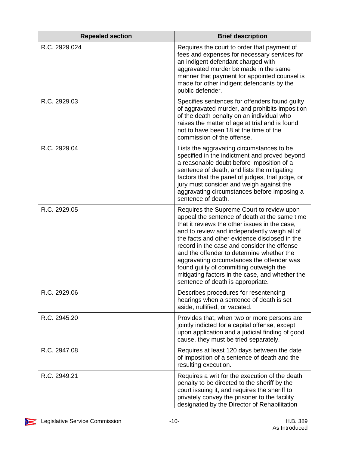| <b>Repealed section</b> | <b>Brief description</b>                                                                                                                                                                                                                                                                                                                                                                                                                                                                                                  |
|-------------------------|---------------------------------------------------------------------------------------------------------------------------------------------------------------------------------------------------------------------------------------------------------------------------------------------------------------------------------------------------------------------------------------------------------------------------------------------------------------------------------------------------------------------------|
| R.C. 2929.024           | Requires the court to order that payment of<br>fees and expenses for necessary services for<br>an indigent defendant charged with<br>aggravated murder be made in the same<br>manner that payment for appointed counsel is<br>made for other indigent defendants by the<br>public defender.                                                                                                                                                                                                                               |
| R.C. 2929.03            | Specifies sentences for offenders found guilty<br>of aggravated murder, and prohibits imposition<br>of the death penalty on an individual who<br>raises the matter of age at trial and is found<br>not to have been 18 at the time of the<br>commission of the offense.                                                                                                                                                                                                                                                   |
| R.C. 2929.04            | Lists the aggravating circumstances to be<br>specified in the indictment and proved beyond<br>a reasonable doubt before imposition of a<br>sentence of death, and lists the mitigating<br>factors that the panel of judges, trial judge, or<br>jury must consider and weigh against the<br>aggravating circumstances before imposing a<br>sentence of death.                                                                                                                                                              |
| R.C. 2929.05            | Requires the Supreme Court to review upon<br>appeal the sentence of death at the same time<br>that it reviews the other issues in the case,<br>and to review and independently weigh all of<br>the facts and other evidence disclosed in the<br>record in the case and consider the offense<br>and the offender to determine whether the<br>aggravating circumstances the offender was<br>found guilty of committing outweigh the<br>mitigating factors in the case, and whether the<br>sentence of death is appropriate. |
| R.C. 2929.06            | Describes procedures for resentencing<br>hearings when a sentence of death is set<br>aside, nullified, or vacated.                                                                                                                                                                                                                                                                                                                                                                                                        |
| R.C. 2945.20            | Provides that, when two or more persons are<br>jointly indicted for a capital offense, except<br>upon application and a judicial finding of good<br>cause, they must be tried separately.                                                                                                                                                                                                                                                                                                                                 |
| R.C. 2947.08            | Requires at least 120 days between the date<br>of imposition of a sentence of death and the<br>resulting execution.                                                                                                                                                                                                                                                                                                                                                                                                       |
| R.C. 2949.21            | Requires a writ for the execution of the death<br>penalty to be directed to the sheriff by the<br>court issuing it, and requires the sheriff to<br>privately convey the prisoner to the facility<br>designated by the Director of Rehabilitation                                                                                                                                                                                                                                                                          |

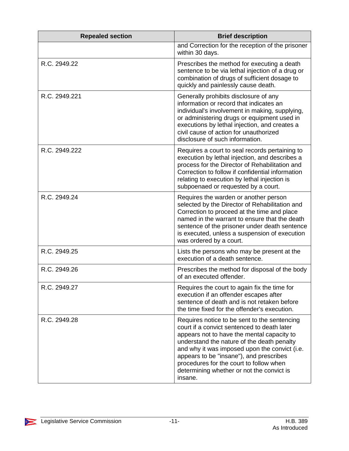| <b>Repealed section</b> | <b>Brief description</b>                                                                                                                                                                                                                                                                                                                                                               |
|-------------------------|----------------------------------------------------------------------------------------------------------------------------------------------------------------------------------------------------------------------------------------------------------------------------------------------------------------------------------------------------------------------------------------|
|                         | and Correction for the reception of the prisoner<br>within 30 days.                                                                                                                                                                                                                                                                                                                    |
| R.C. 2949.22            | Prescribes the method for executing a death<br>sentence to be via lethal injection of a drug or<br>combination of drugs of sufficient dosage to<br>quickly and painlessly cause death.                                                                                                                                                                                                 |
| R.C. 2949.221           | Generally prohibits disclosure of any<br>information or record that indicates an<br>individual's involvement in making, supplying,<br>or administering drugs or equipment used in<br>executions by lethal injection, and creates a<br>civil cause of action for unauthorized<br>disclosure of such information.                                                                        |
| R.C. 2949.222           | Requires a court to seal records pertaining to<br>execution by lethal injection, and describes a<br>process for the Director of Rehabilitation and<br>Correction to follow if confidential information<br>relating to execution by lethal injection is<br>subpoenaed or requested by a court.                                                                                          |
| R.C. 2949.24            | Requires the warden or another person<br>selected by the Director of Rehabilitation and<br>Correction to proceed at the time and place<br>named in the warrant to ensure that the death<br>sentence of the prisoner under death sentence<br>is executed, unless a suspension of execution<br>was ordered by a court.                                                                   |
| R.C. 2949.25            | Lists the persons who may be present at the<br>execution of a death sentence.                                                                                                                                                                                                                                                                                                          |
| R.C. 2949.26            | Prescribes the method for disposal of the body<br>of an executed offender.                                                                                                                                                                                                                                                                                                             |
| R.C. 2949.27            | Requires the court to again fix the time for<br>execution if an offender escapes after<br>sentence of death and is not retaken before<br>the time fixed for the offender's execution.                                                                                                                                                                                                  |
| R.C. 2949.28            | Requires notice to be sent to the sentencing<br>court if a convict sentenced to death later<br>appears not to have the mental capacity to<br>understand the nature of the death penalty<br>and why it was imposed upon the convict (i.e.<br>appears to be "insane"), and prescribes<br>procedures for the court to follow when<br>determining whether or not the convict is<br>insane. |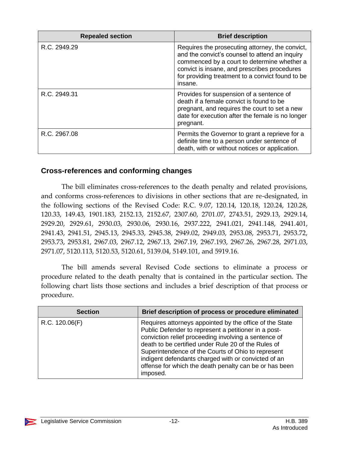| <b>Repealed section</b> | <b>Brief description</b>                                                                                                                                                                                                                                        |
|-------------------------|-----------------------------------------------------------------------------------------------------------------------------------------------------------------------------------------------------------------------------------------------------------------|
| R.C. 2949.29            | Requires the prosecuting attorney, the convict,<br>and the convict's counsel to attend an inquiry<br>commenced by a court to determine whether a<br>convict is insane, and prescribes procedures<br>for providing treatment to a convict found to be<br>insane. |
| R.C. 2949.31            | Provides for suspension of a sentence of<br>death if a female convict is found to be<br>pregnant, and requires the court to set a new<br>date for execution after the female is no longer<br>pregnant.                                                          |
| R.C. 2967.08            | Permits the Governor to grant a reprieve for a<br>definite time to a person under sentence of<br>death, with or without notices or application.                                                                                                                 |

# <span id="page-11-0"></span>**Cross-references and conforming changes**

The bill eliminates cross-references to the death penalty and related provisions, and conforms cross-references to divisions in other sections that are re-designated, in the following sections of the Revised Code: R.C. 9.07, 120.14, 120.18, 120.24, 120.28, 120.33, 149.43, 1901.183, 2152.13, 2152.67, 2307.60, 2701.07, 2743.51, 2929.13, 2929.14, 2929.20, 2929.61, 2930.03, 2930.06, 2930.16, 2937.222, 2941.021, 2941.148, 2941.401, 2941.43, 2941.51, 2945.13, 2945.33, 2945.38, 2949.02, 2949.03, 2953.08, 2953.71, 2953.72, 2953.73, 2953.81, 2967.03, 2967.12, 2967.13, 2967.19, 2967.193, 2967.26, 2967.28, 2971.03, 2971.07, 5120.113, 5120.53, 5120.61, 5139.04, 5149.101, and 5919.16.

The bill amends several Revised Code sections to eliminate a process or procedure related to the death penalty that is contained in the particular section. The following chart lists those sections and includes a brief description of that process or procedure.

| <b>Section</b> | Brief description of process or procedure eliminated                                                                                                                                                                                                                                                                                                                                                              |
|----------------|-------------------------------------------------------------------------------------------------------------------------------------------------------------------------------------------------------------------------------------------------------------------------------------------------------------------------------------------------------------------------------------------------------------------|
| R.C. 120.06(F) | Requires attorneys appointed by the office of the State<br>Public Defender to represent a petitioner in a post-<br>conviction relief proceeding involving a sentence of<br>death to be certified under Rule 20 of the Rules of<br>Superintendence of the Courts of Ohio to represent<br>indigent defendants charged with or convicted of an<br>offense for which the death penalty can be or has been<br>imposed. |

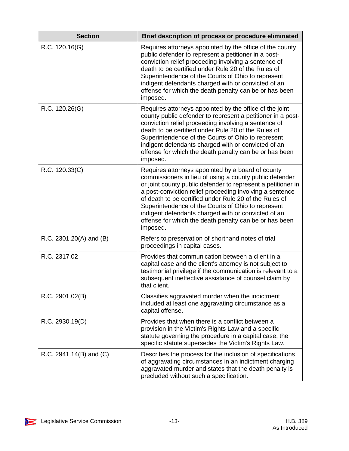| <b>Section</b>               | Brief description of process or procedure eliminated                                                                                                                                                                                                                                                                                                                                                                                                                                  |
|------------------------------|---------------------------------------------------------------------------------------------------------------------------------------------------------------------------------------------------------------------------------------------------------------------------------------------------------------------------------------------------------------------------------------------------------------------------------------------------------------------------------------|
| R.C. 120.16(G)               | Requires attorneys appointed by the office of the county<br>public defender to represent a petitioner in a post-<br>conviction relief proceeding involving a sentence of<br>death to be certified under Rule 20 of the Rules of<br>Superintendence of the Courts of Ohio to represent<br>indigent defendants charged with or convicted of an<br>offense for which the death penalty can be or has been<br>imposed.                                                                    |
| R.C. 120.26(G)               | Requires attorneys appointed by the office of the joint<br>county public defender to represent a petitioner in a post-<br>conviction relief proceeding involving a sentence of<br>death to be certified under Rule 20 of the Rules of<br>Superintendence of the Courts of Ohio to represent<br>indigent defendants charged with or convicted of an<br>offense for which the death penalty can be or has been<br>imposed.                                                              |
| R.C. 120.33(C)               | Requires attorneys appointed by a board of county<br>commissioners in lieu of using a county public defender<br>or joint county public defender to represent a petitioner in<br>a post-conviction relief proceeding involving a sentence<br>of death to be certified under Rule 20 of the Rules of<br>Superintendence of the Courts of Ohio to represent<br>indigent defendants charged with or convicted of an<br>offense for which the death penalty can be or has been<br>imposed. |
| R.C. 2301.20(A) and (B)      | Refers to preservation of shorthand notes of trial<br>proceedings in capital cases.                                                                                                                                                                                                                                                                                                                                                                                                   |
| R.C. 2317.02                 | Provides that communication between a client in a<br>capital case and the client's attorney is not subject to<br>testimonial privilege if the communication is relevant to a<br>subsequent ineffective assistance of counsel claim by<br>that client.                                                                                                                                                                                                                                 |
| R.C. 2901.02(B)              | Classifies aggravated murder when the indictment<br>included at least one aggravating circumstance as a<br>capital offense.                                                                                                                                                                                                                                                                                                                                                           |
| R.C. 2930.19(D)              | Provides that when there is a conflict between a<br>provision in the Victim's Rights Law and a specific<br>statute governing the procedure in a capital case, the<br>specific statute supersedes the Victim's Rights Law.                                                                                                                                                                                                                                                             |
| R.C. 2941.14 $(B)$ and $(C)$ | Describes the process for the inclusion of specifications<br>of aggravating circumstances in an indictment charging<br>aggravated murder and states that the death penalty is<br>precluded without such a specification.                                                                                                                                                                                                                                                              |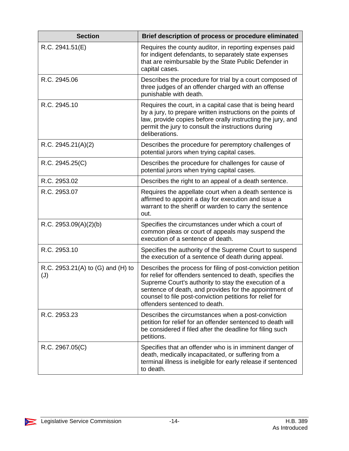| <b>Section</b>                           | Brief description of process or procedure eliminated                                                                                                                                                                                                                                                                                      |
|------------------------------------------|-------------------------------------------------------------------------------------------------------------------------------------------------------------------------------------------------------------------------------------------------------------------------------------------------------------------------------------------|
| R.C. 2941.51(E)                          | Requires the county auditor, in reporting expenses paid<br>for indigent defendants, to separately state expenses<br>that are reimbursable by the State Public Defender in<br>capital cases.                                                                                                                                               |
| R.C. 2945.06                             | Describes the procedure for trial by a court composed of<br>three judges of an offender charged with an offense<br>punishable with death.                                                                                                                                                                                                 |
| R.C. 2945.10                             | Requires the court, in a capital case that is being heard<br>by a jury, to prepare written instructions on the points of<br>law, provide copies before orally instructing the jury, and<br>permit the jury to consult the instructions during<br>deliberations.                                                                           |
| R.C. 2945.21(A)(2)                       | Describes the procedure for peremptory challenges of<br>potential jurors when trying capital cases.                                                                                                                                                                                                                                       |
| R.C. 2945.25(C)                          | Describes the procedure for challenges for cause of<br>potential jurors when trying capital cases.                                                                                                                                                                                                                                        |
| R.C. 2953.02                             | Describes the right to an appeal of a death sentence.                                                                                                                                                                                                                                                                                     |
| R.C. 2953.07                             | Requires the appellate court when a death sentence is<br>affirmed to appoint a day for execution and issue a<br>warrant to the sheriff or warden to carry the sentence<br>out.                                                                                                                                                            |
| R.C. 2953.09(A)(2)(b)                    | Specifies the circumstances under which a court of<br>common pleas or court of appeals may suspend the<br>execution of a sentence of death.                                                                                                                                                                                               |
| R.C. 2953.10                             | Specifies the authority of the Supreme Court to suspend<br>the execution of a sentence of death during appeal.                                                                                                                                                                                                                            |
| R.C. 2953.21(A) to (G) and (H) to<br>(J) | Describes the process for filing of post-conviction petition<br>for relief for offenders sentenced to death, specifies the<br>Supreme Court's authority to stay the execution of a<br>sentence of death, and provides for the appointment of<br>counsel to file post-conviction petitions for relief for<br>offenders sentenced to death. |
| R.C. 2953.23                             | Describes the circumstances when a post-conviction<br>petition for relief for an offender sentenced to death will<br>be considered if filed after the deadline for filing such<br>petitions.                                                                                                                                              |
| R.C. 2967.05(C)                          | Specifies that an offender who is in imminent danger of<br>death, medically incapacitated, or suffering from a<br>terminal illness is ineligible for early release if sentenced<br>to death.                                                                                                                                              |